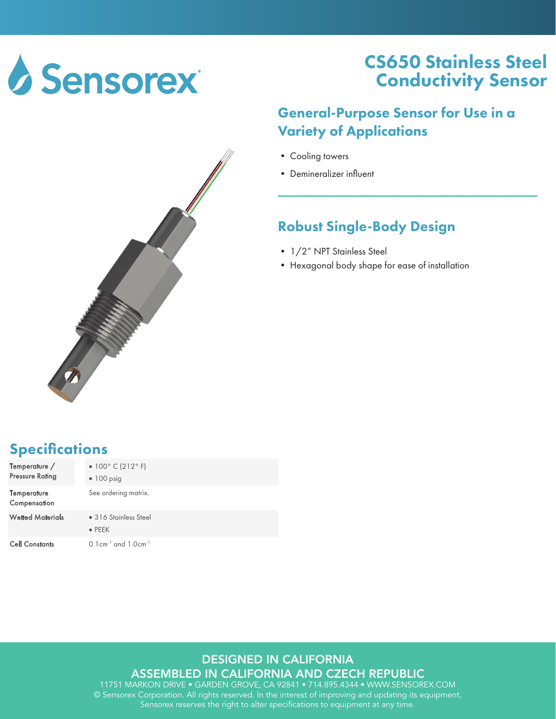

## CS650 Stainless Steel Conductivity Sensor

### General-Purpose Sensor for Use in a Variety of Applications

\_\_\_\_\_\_\_\_\_\_\_\_\_\_\_\_\_\_\_\_\_\_\_\_\_\_\_\_\_\_\_\_\_\_\_\_\_\_\_\_\_\_\_\_

- Cooling towers
- Demineralizer influent

### Robust Single-Body Design

- 1/2" NPT Stainless Steel
- Hexagonal body shape for ease of installation

## **Specifications**

| Temperature /<br><b>Pressure Rating</b> | • $100^{\circ}$ C (212°F)<br>$\bullet$ 100 psig   |
|-----------------------------------------|---------------------------------------------------|
| Temperature<br>Compensation             | See ordering matrix.                              |
| <b>Wetted Materials</b>                 | • 316 Stainless Steel<br>$\bullet$ PEEK           |
| <b>Cell Constants</b>                   | $0.1$ cm <sup>-1</sup> and $1.0$ cm <sup>-1</sup> |

#### DESIGNED IN CALIFORNIA

ASSEMBLED IN CALIFORNIA AND CZECH REPUBLIC

11751 MARKON DRIVE • GARDEN GROVE, CA 92841 • 714.895.4344 • WWW.SENSOREX.COM © Sensorex Corporation. All rights reserved. In the interest of improving and updating its equipment, Sensorex reserves the right to alter specifications to equipment at any time.